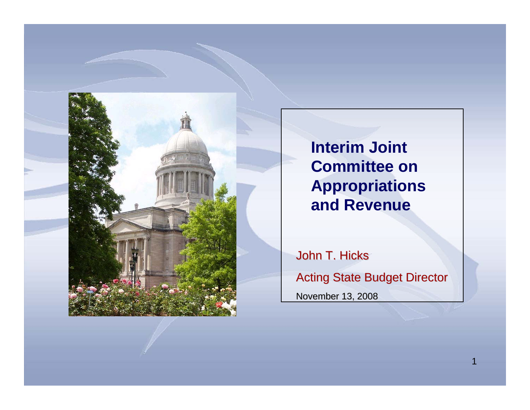

**Interim Joint Committee on Appropriations and Revenue**

John T. Hicks **Acting State Budget Director** November 13, 2008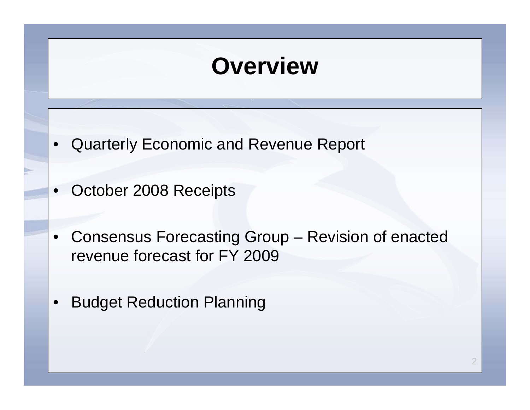## **Overview**

- Quarterly Economic and Revenue Report
- October 2008 Receipts
- Consensus Forecasting Group Revision of enacted revenue forecast for FY 2009
- Budget Reduction Planning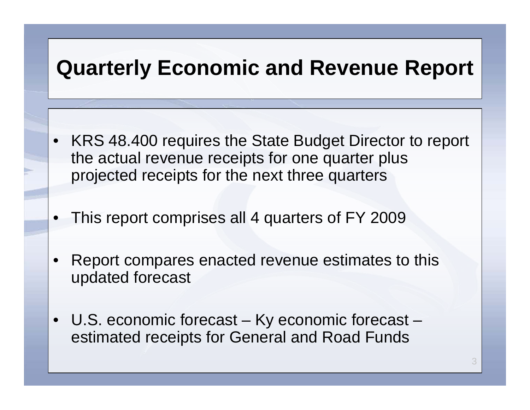### **Quarterly Economic and Revenue Report**

- KRS 48.400 requires the State Budget Director to report the actual revenue receipts for one quarter plus projected receipts for the next three quarters
- This report comprises all 4 quarters of FY 2009
- Report compares enacted revenue estimates to this updated forecast
- U.S. economic forecast Ky economic forecast estimated receipts for General and Road Funds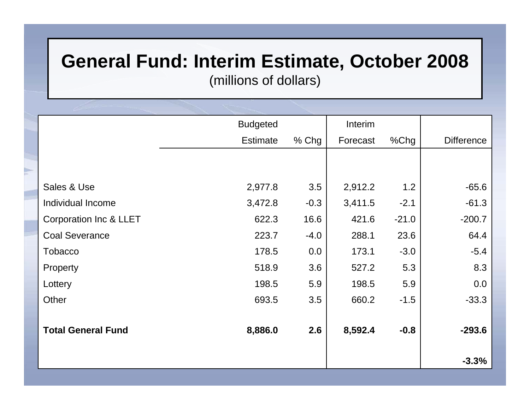#### **General Fund: Interim Estimate, October 2008**

(millions o f d ollars)

|                                   | <b>Budgeted</b> |         | Interim  |         |                   |
|-----------------------------------|-----------------|---------|----------|---------|-------------------|
|                                   | <b>Estimate</b> | $%$ Chg | Forecast | $%$ Chg | <b>Difference</b> |
|                                   |                 |         |          |         |                   |
|                                   |                 |         |          |         |                   |
| Sales & Use                       | 2,977.8         | 3.5     | 2,912.2  | 1.2     | $-65.6$           |
| Individual Income                 | 3,472.8         | $-0.3$  | 3,411.5  | $-2.1$  | $-61.3$           |
| <b>Corporation Inc &amp; LLET</b> | 622.3           | 16.6    | 421.6    | $-21.0$ | $-200.7$          |
| <b>Coal Severance</b>             | 223.7           | $-4.0$  | 288.1    | 23.6    | 64.4              |
| <b>Tobacco</b>                    | 178.5           | 0.0     | 173.1    | $-3.0$  | $-5.4$            |
| Property                          | 518.9           | 3.6     | 527.2    | 5.3     | 8.3               |
| Lottery                           | 198.5           | 5.9     | 198.5    | 5.9     | 0.0               |
| Other                             | 693.5           | 3.5     | 660.2    | $-1.5$  | $-33.3$           |
|                                   |                 |         |          |         |                   |
| <b>Total General Fund</b>         | 8,886.0         | 2.6     | 8,592.4  | $-0.8$  | $-293.6$          |
|                                   |                 |         |          |         |                   |
|                                   |                 |         |          |         | $-3.3%$           |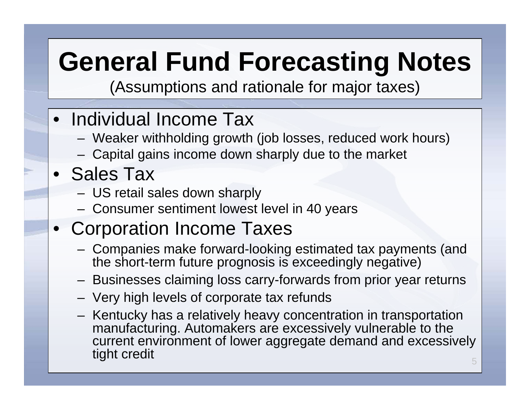# **General Fund Forecasting Notes**

(Assumptions and rationale for major taxes)

### • Individual Income Tax

- Weaker withholding growth (job losses, reduced work hours)
- Capital gains income down sharply due to the market

### • Sales Tax

- US retail sales down sharply
- Consumer sentiment lowest level in 40 years

### • Corporation Income Taxes

- Companies make forward-looking estimated tax payments (and the short-term future prognosis is exceedingly negative)
- Businesses claiming loss carry-fo rwards from prior year returns
- Very high lev els of corporate tax refunds
- Kentucky has a relatively heavy concentration in transportation manufacturing. Automakers are excessively vulnerable to the current environment of lower aggregate demand and excessively tight credit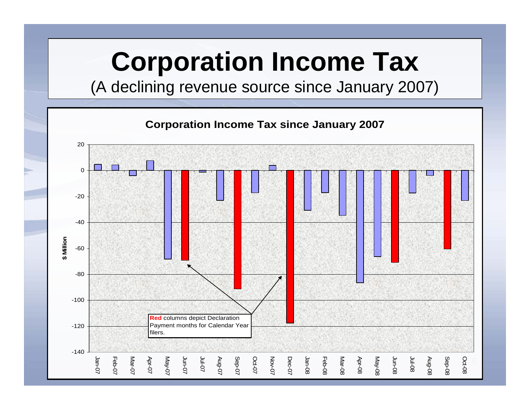# **Corporation Income Tax**

(A declining revenue source since January 2007)

**Corporatio n Income Tax sin ce Jan uary 2007**

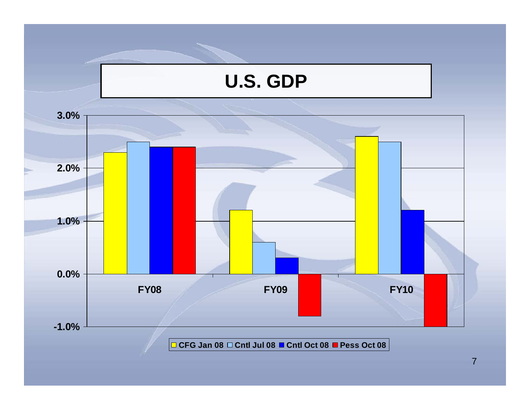

**CFG Jan 08 Cntl Jul 08 Cntl Oct 08 Pess Oct 08**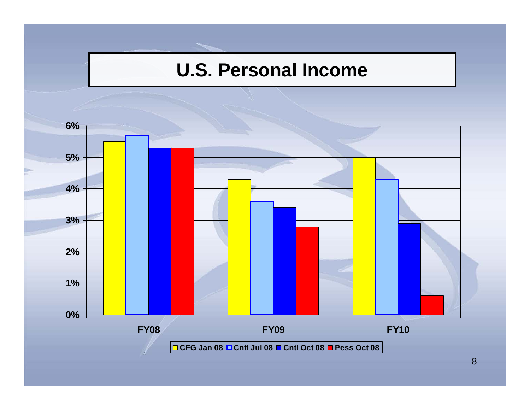#### **U.S. Personal Income**

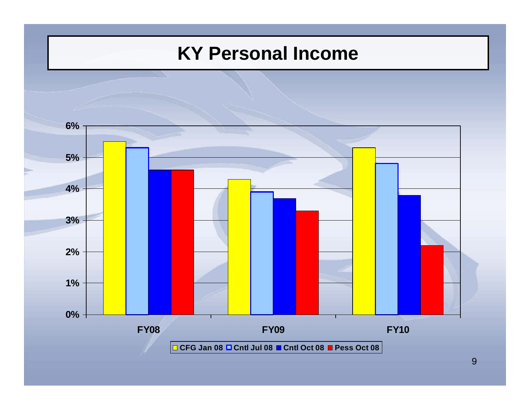#### **KY Personal Income**

![](_page_8_Figure_1.jpeg)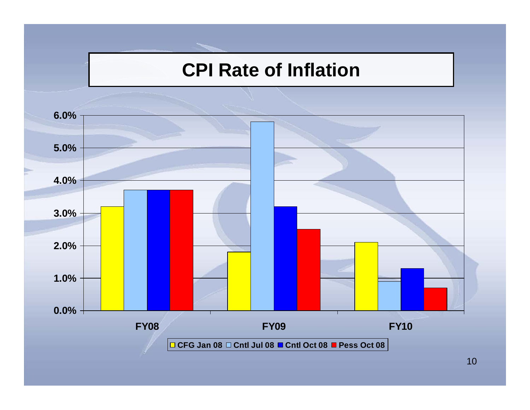#### **CPI Rate of Inflation**

![](_page_9_Figure_1.jpeg)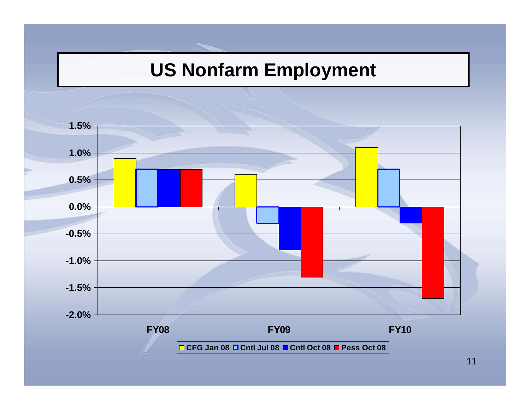#### **US Nonfarm Employment**

![](_page_10_Figure_1.jpeg)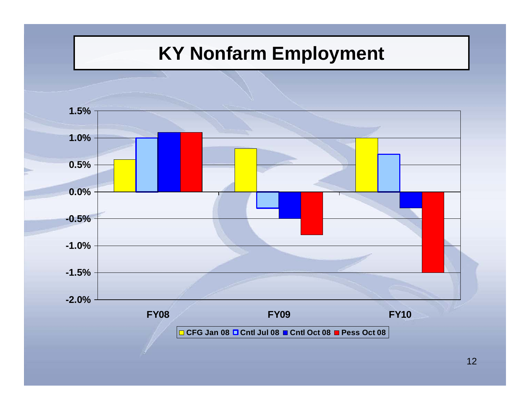### **KY Nonfarm Employment**

![](_page_11_Figure_1.jpeg)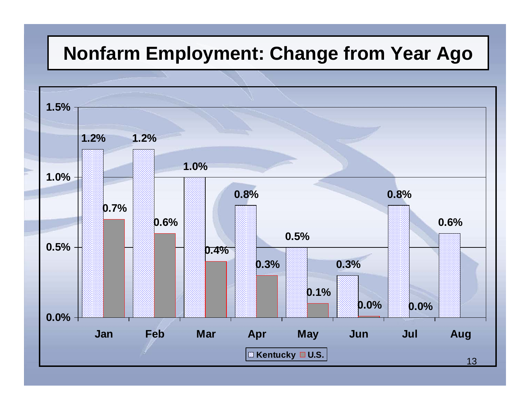#### **Nonfarm Employment: Change from Year Ago**

![](_page_12_Figure_1.jpeg)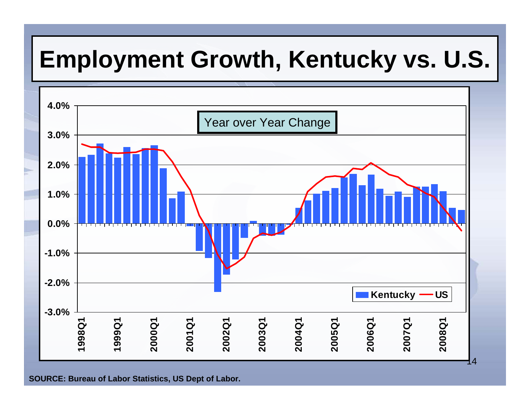## **Employment Growth, Kentucky vs. U.S.**

![](_page_13_Figure_1.jpeg)

**SOURCE: Bureau of Lab or Statistics, US Dept of Lab or.**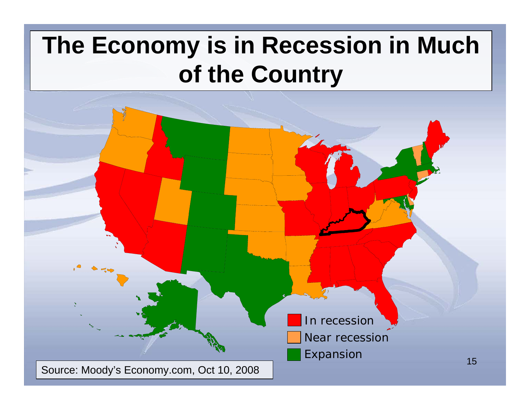## **The Economy is in Recession in Much of the Country**

![](_page_14_Figure_1.jpeg)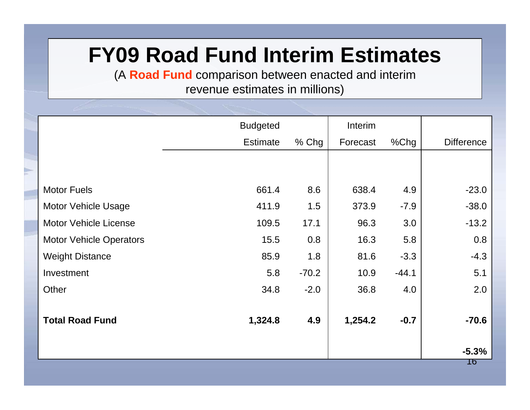### **FY09 Road Fund Interim Estimates**

(A **Road Fund** comparison between enacted and interim revenue estimates in millions)

|                                | <b>Budgeted</b> |         | Interim  |         |                   |
|--------------------------------|-----------------|---------|----------|---------|-------------------|
|                                | <b>Estimate</b> | $%$ Chg | Forecast | $%$ Chg | <b>Difference</b> |
|                                |                 |         |          |         |                   |
|                                |                 |         |          |         |                   |
| <b>Motor Fuels</b>             | 661.4           | 8.6     | 638.4    | 4.9     | $-23.0$           |
| <b>Motor Vehicle Usage</b>     | 411.9           | 1.5     | 373.9    | $-7.9$  | $-38.0$           |
| <b>Motor Vehicle License</b>   | 109.5           | 17.1    | 96.3     | 3.0     | $-13.2$           |
| <b>Motor Vehicle Operators</b> | 15.5            | 0.8     | 16.3     | 5.8     | 0.8               |
| <b>Weight Distance</b>         | 85.9            | 1.8     | 81.6     | $-3.3$  | $-4.3$            |
| Investment                     | 5.8             | $-70.2$ | 10.9     | $-44.1$ | 5.1               |
| Other                          | 34.8            | $-2.0$  | 36.8     | 4.0     | 2.0               |
|                                |                 |         |          |         |                   |
| <b>Total Road Fund</b>         | 1,324.8         | 4.9     | 1,254.2  | $-0.7$  | $-70.6$           |
|                                |                 |         |          |         |                   |
|                                |                 |         |          |         | $-5.3%$<br>16     |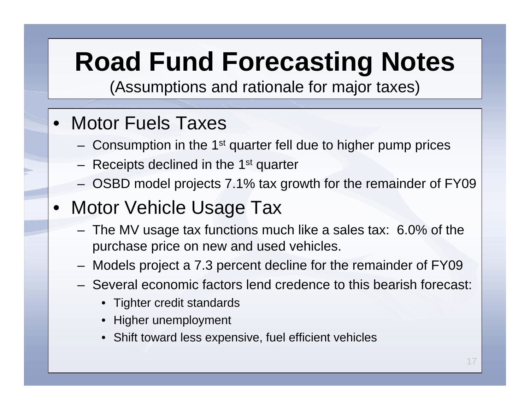# **Road Fund Forecasting Notes**

(Assumptions and rationale for major taxes)

#### • Motor Fuels Taxes

- $-$  Consumption in the 1<sup>st</sup> quarter fell due to higher pump prices
- $-$  Receipts declined in the 1<sup>st</sup> quarter
- OSBD model projects 7.1% tax growth for the remainder of FY09
- Motor Vehicle Usage Tax
	- The MV usage tax functions much like a sales tax: 6.0% of the purchase price on new and used vehicles.
	- Models project a 7.3 percent decline for the remainder of FY09
	- Several economic factors lend credence to this bearish forecast:
		- Tighter credit standards
		- Higher unemployment
		- Shift toward less expensive, fuel efficient vehicles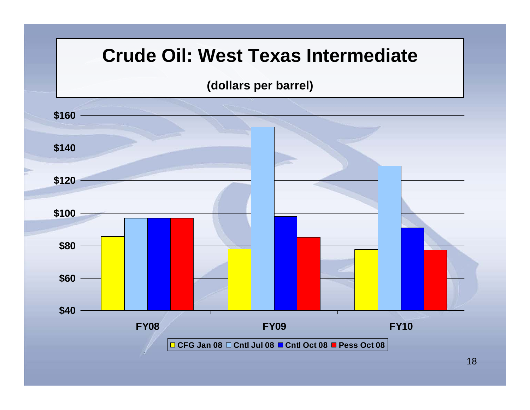#### **Crude Oil: West Texas Intermediate**

#### **(dollars per barrel)**

![](_page_17_Figure_2.jpeg)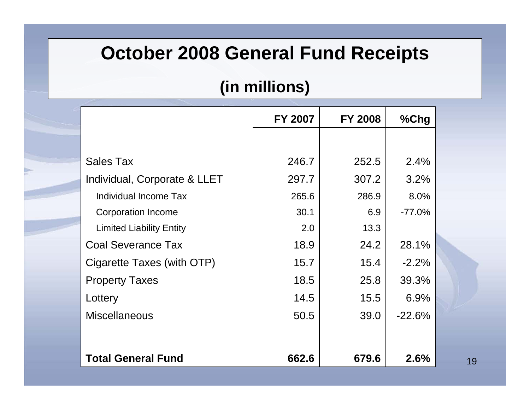#### **October 2008 General Fund Receipts**

#### **(in millions)**

|                                 | <b>FY 2007</b> | <b>FY 2008</b> | %Chg     |
|---------------------------------|----------------|----------------|----------|
|                                 |                |                |          |
| <b>Sales Tax</b>                | 246.7          | 252.5          | 2.4%     |
| Individual, Corporate & LLET    | 297.7          | 307.2          | 3.2%     |
| Individual Income Tax           | 265.6          | 286.9          | 8.0%     |
| <b>Corporation Income</b>       | 30.1           | 6.9            | $-77.0%$ |
| <b>Limited Liability Entity</b> | 2.0            | 13.3           |          |
| <b>Coal Severance Tax</b>       | 18.9           | 24.2           | 28.1%    |
| Cigarette Taxes (with OTP)      | 15.7           | 15.4           | $-2.2%$  |
| <b>Property Taxes</b>           | 18.5           | 25.8           | 39.3%    |
| Lottery                         | 14.5           | 15.5           | 6.9%     |
| <b>Miscellaneous</b>            | 50.5           | 39.0           | $-22.6%$ |
|                                 |                |                |          |
| <b>Total General Fund</b>       | 662.6          | 679.6          | 2.6%     |

19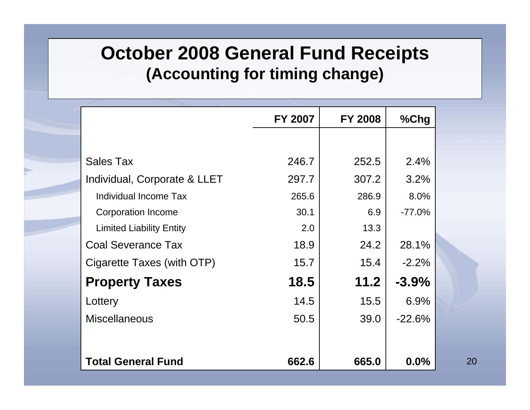#### **October 2008 General Fund Receipts (Accounting for timing change)**

|                                 | FY 2007 | <b>FY 2008</b> | %Chg     |
|---------------------------------|---------|----------------|----------|
|                                 |         |                |          |
| <b>Sales Tax</b>                | 246.7   | 252.5          | 2.4%     |
| Individual, Corporate & LLET    | 297.7   | 307.2          | 3.2%     |
| Individual Income Tax           | 265.6   | 286.9          | 8.0%     |
| <b>Corporation Income</b>       | 30.1    | 6.9            | $-77.0%$ |
| <b>Limited Liability Entity</b> | 2.0     | 13.3           |          |
| <b>Coal Severance Tax</b>       | 18.9    | 24.2           | 28.1%    |
| Cigarette Taxes (with OTP)      | 15.7    | 15.4           | $-2.2%$  |
| <b>Property Taxes</b>           | 18.5    | 11.2           | $-3.9%$  |
| Lottery                         | 14.5    | 15.5           | 6.9%     |
| <b>Miscellaneous</b>            | 50.5    | 39.0           | $-22.6%$ |
|                                 |         |                |          |
| <b>Total General Fund</b>       | 662.6   | 665.0          | $0.0\%$  |

20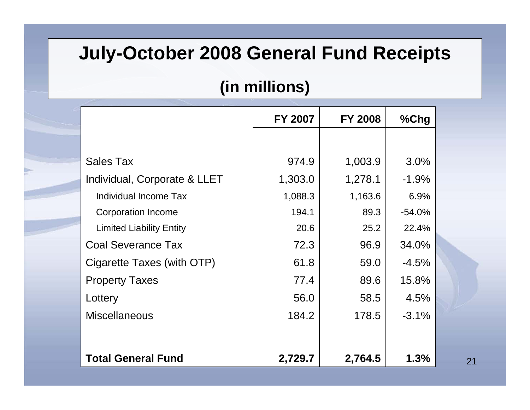#### **July-October 2008 General Fund Receipts**

#### **(in millions)**

|                                 | <b>FY 2007</b> | <b>FY 2008</b> | %Chg     |
|---------------------------------|----------------|----------------|----------|
|                                 |                |                |          |
| <b>Sales Tax</b>                | 974.9          | 1,003.9        | 3.0%     |
| Individual, Corporate & LLET    | 1,303.0        | 1,278.1        | $-1.9%$  |
| Individual Income Tax           | 1,088.3        | 1,163.6        | 6.9%     |
| <b>Corporation Income</b>       | 194.1          | 89.3           | $-54.0%$ |
| <b>Limited Liability Entity</b> | 20.6           | 25.2           | 22.4%    |
| <b>Coal Severance Tax</b>       | 72.3           | 96.9           | 34.0%    |
| Cigarette Taxes (with OTP)      | 61.8           | 59.0           | $-4.5%$  |
| <b>Property Taxes</b>           | 77.4           | 89.6           | 15.8%    |
| Lottery                         | 56.0           | 58.5           | 4.5%     |
| <b>Miscellaneous</b>            | 184.2          | 178.5          | $-3.1%$  |
|                                 |                |                |          |
| <b>Total General Fund</b>       | 2,729.7        | 2,764.5        | 1.3%     |

21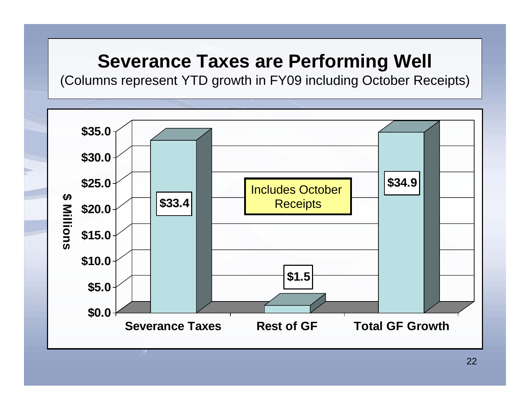### **Severance Taxes are Performing Well**

(Columns represent YTD growth in FY09 including October Receipts)

![](_page_21_Figure_2.jpeg)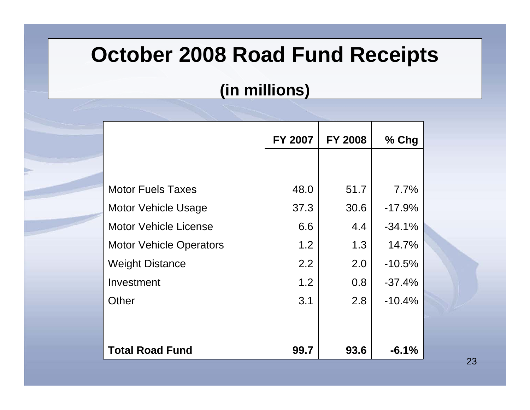### **October 2008 Road Fund Receipts**

#### **(in millions)**

|                                | FY 2007 | <b>FY 2008</b> | $%$ Chg  |
|--------------------------------|---------|----------------|----------|
|                                |         |                |          |
| <b>Motor Fuels Taxes</b>       | 48.0    | 51.7           | 7.7%     |
| <b>Motor Vehicle Usage</b>     | 37.3    | 30.6           | $-17.9%$ |
| <b>Motor Vehicle License</b>   | 6.6     | 4.4            | $-34.1%$ |
| <b>Motor Vehicle Operators</b> | 1.2     | 1.3            | 14.7%    |
| <b>Weight Distance</b>         | 2.2     | 2.0            | $-10.5%$ |
| Investment                     | 1.2     | 0.8            | $-37.4%$ |
| Other                          | 3.1     | 2.8            | $-10.4%$ |
|                                |         |                |          |
|                                |         |                |          |
| <b>Total Road Fund</b>         | 99.7    | 93.6           | $-6.1%$  |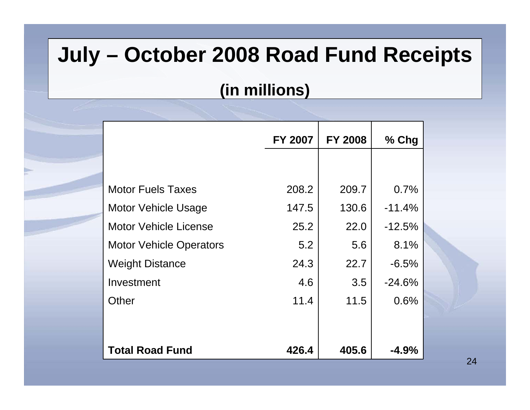### **July – October 2008 Road Fund Receipts**

#### **(in millions)**

|                                | FY 2007 | <b>FY 2008</b> | $%$ Chg  |
|--------------------------------|---------|----------------|----------|
|                                |         |                |          |
| <b>Motor Fuels Taxes</b>       | 208.2   | 209.7          | 0.7%     |
| <b>Motor Vehicle Usage</b>     | 147.5   | 130.6          | $-11.4%$ |
| <b>Motor Vehicle License</b>   | 25.2    | 22.0           | $-12.5%$ |
| <b>Motor Vehicle Operators</b> | 5.2     | 5.6            | 8.1%     |
| <b>Weight Distance</b>         | 24.3    | 22.7           | $-6.5%$  |
| Investment                     | 4.6     | 3.5            | $-24.6%$ |
| Other                          | 11.4    | 11.5           | 0.6%     |
|                                |         |                |          |
|                                |         |                |          |
| <b>Total Road Fund</b>         | 426.4   | 405.6          | $-4.9\%$ |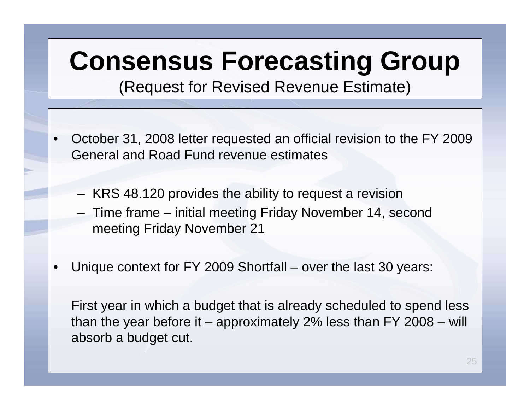# **Consensus Forecasting Group**

(Request for Revised Revenue Estimate)

- October 31, 2008 letter requested an official revision to the FY 2009 General and Road Fund revenue estimates
	- KRS 48.120 provides the ability to request a revision
	- Time frame initial meeting Friday November 14, second meeting Friday November 21
- Unique context for FY 2009 Shortfall over the last 30 years:

First year in which a budget that is already scheduled to spend less than the year before it – approximately 2% less than FY 2008 – will absorb a budget cut.